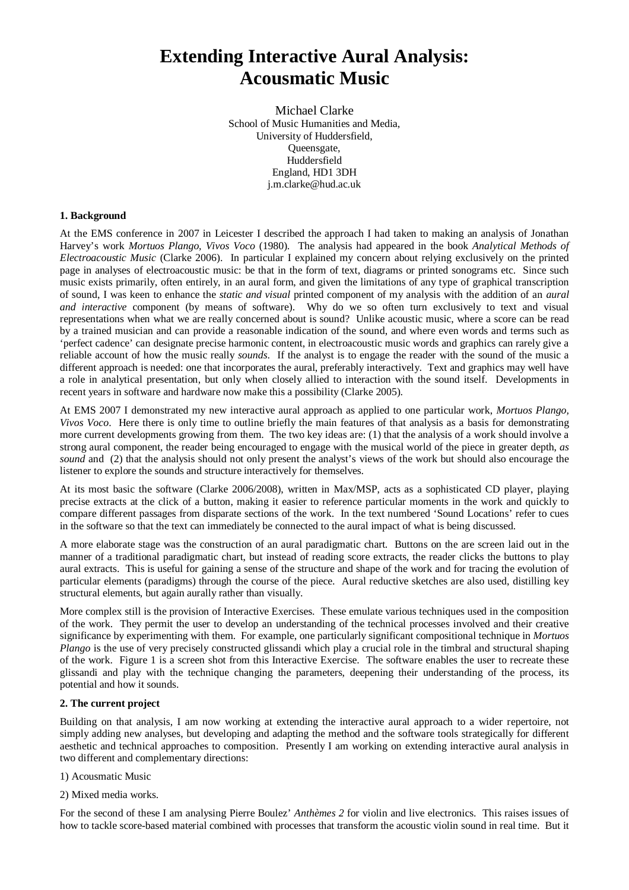# **Extending Interactive Aural Analysis: Acousmatic Music**

Michael Clarke School of Music Humanities and Media, University of Huddersfield, Queensgate, Huddersfield England, HD1 3DH j.m.clarke@hud.ac.uk

### **1. Background**

At the EMS conference in 2007 in Leicester I described the approach I had taken to making an analysis of Jonathan Harvey's work *Mortuos Plango, Vivos Voco* (1980). The analysis had appeared in the book *Analytical Methods of Electroacoustic Music* (Clarke 2006). In particular I explained my concern about relying exclusively on the printed page in analyses of electroacoustic music: be that in the form of text, diagrams or printed sonograms etc. Since such music exists primarily, often entirely, in an aural form, and given the limitations of any type of graphical transcription of sound, I was keen to enhance the *static and visual* printed component of my analysis with the addition of an *aural and interactive* component (by means of software). Why do we so often turn exclusively to text and visual representations when what we are really concerned about is sound? Unlike acoustic music, where a score can be read by a trained musician and can provide a reasonable indication of the sound, and where even words and terms such as 'perfect cadence' can designate precise harmonic content, in electroacoustic music words and graphics can rarely give a reliable account of how the music really *sounds*. If the analyst is to engage the reader with the sound of the music a different approach is needed: one that incorporates the aural, preferably interactively. Text and graphics may well have a role in analytical presentation, but only when closely allied to interaction with the sound itself. Developments in recent years in software and hardware now make this a possibility (Clarke 2005).

At EMS 2007 I demonstrated my new interactive aural approach as applied to one particular work, *Mortuos Plango, Vivos Voco*. Here there is only time to outline briefly the main features of that analysis as a basis for demonstrating more current developments growing from them. The two key ideas are: (1) that the analysis of a work should involve a strong aural component, the reader being encouraged to engage with the musical world of the piece in greater depth, *as sound* and (2) that the analysis should not only present the analyst's views of the work but should also encourage the listener to explore the sounds and structure interactively for themselves.

At its most basic the software (Clarke 2006/2008), written in Max/MSP, acts as a sophisticated CD player, playing precise extracts at the click of a button, making it easier to reference particular moments in the work and quickly to compare different passages from disparate sections of the work. In the text numbered 'Sound Locations' refer to cues in the software so that the text can immediately be connected to the aural impact of what is being discussed.

A more elaborate stage was the construction of an aural paradigmatic chart. Buttons on the are screen laid out in the manner of a traditional paradigmatic chart, but instead of reading score extracts, the reader clicks the buttons to play aural extracts. This is useful for gaining a sense of the structure and shape of the work and for tracing the evolution of particular elements (paradigms) through the course of the piece. Aural reductive sketches are also used, distilling key structural elements, but again aurally rather than visually.

More complex still is the provision of Interactive Exercises. These emulate various techniques used in the composition of the work. They permit the user to develop an understanding of the technical processes involved and their creative significance by experimenting with them. For example, one particularly significant compositional technique in *Mortuos Plango* is the use of very precisely constructed glissandi which play a crucial role in the timbral and structural shaping of the work. Figure 1 is a screen shot from this Interactive Exercise. The software enables the user to recreate these glissandi and play with the technique changing the parameters, deepening their understanding of the process, its potential and how it sounds.

## **2. The current project**

Building on that analysis, I am now working at extending the interactive aural approach to a wider repertoire, not simply adding new analyses, but developing and adapting the method and the software tools strategically for different aesthetic and technical approaches to composition. Presently I am working on extending interactive aural analysis in two different and complementary directions:

#### 1) Acousmatic Music

2) Mixed media works.

For the second of these I am analysing Pierre Boulez' *Anthèmes 2* for violin and live electronics. This raises issues of how to tackle score-based material combined with processes that transform the acoustic violin sound in real time. But it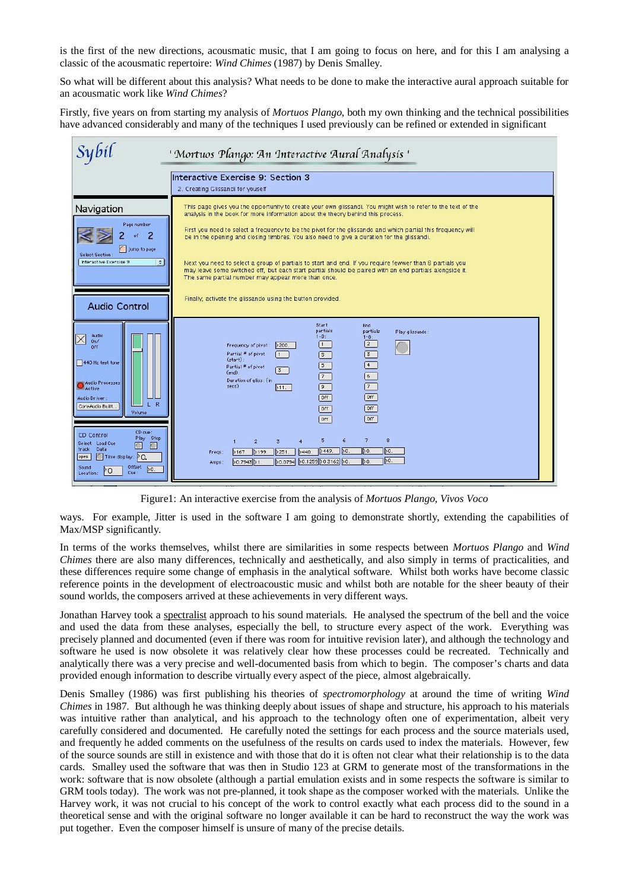is the first of the new directions, acousmatic music, that I am going to focus on here, and for this I am analysing a classic of the acousmatic repertoire: *Wind Chimes* (1987) by Denis Smalley.

So what will be different about this analysis? What needs to be done to make the interactive aural approach suitable for an acousmatic work like *Wind Chimes*?

Firstly, five years on from starting my analysis of *Mortuos Plango*, both my own thinking and the technical possibilities have advanced considerably and many of the techniques I used previously can be refined or extended in significant



Figure1: An interactive exercise from the analysis of *Mortuos Plango, Vivos Voco*

ways. For example, Jitter is used in the software I am going to demonstrate shortly, extending the capabilities of Max/MSP significantly.

In terms of the works themselves, whilst there are similarities in some respects between *Mortuos Plango* and *Wind Chimes* there are also many differences, technically and aesthetically, and also simply in terms of practicalities, and these differences require some change of emphasis in the analytical software. Whilst both works have become classic reference points in the development of electroacoustic music and whilst both are notable for the sheer beauty of their sound worlds, the composers arrived at these achievements in very different ways.

Jonathan Harvey took a spectralist approach to his sound materials. He analysed the spectrum of the bell and the voice and used the data from these analyses, especially the bell, to structure every aspect of the work. Everything was precisely planned and documented (even if there was room for intuitive revision later), and although the technology and software he used is now obsolete it was relatively clear how these processes could be recreated. Technically and analytically there was a very precise and well-documented basis from which to begin. The composer's charts and data provided enough information to describe virtually every aspect of the piece, almost algebraically.

Denis Smalley (1986) was first publishing his theories of *spectromorphology* at around the time of writing *Wind Chimes* in 1987. But although he was thinking deeply about issues of shape and structure, his approach to his materials was intuitive rather than analytical, and his approach to the technology often one of experimentation, albeit very carefully considered and documented. He carefully noted the settings for each process and the source materials used, and frequently he added comments on the usefulness of the results on cards used to index the materials. However, few of the source sounds are still in existence and with those that do it is often not clear what their relationship is to the data cards. Smalley used the software that was then in Studio 123 at GRM to generate most of the transformations in the work: software that is now obsolete (although a partial emulation exists and in some respects the software is similar to GRM tools today). The work was not pre-planned, it took shape as the composer worked with the materials. Unlike the Harvey work, it was not crucial to his concept of the work to control exactly what each process did to the sound in a theoretical sense and with the original software no longer available it can be hard to reconstruct the way the work was put together. Even the composer himself is unsure of many of the precise details.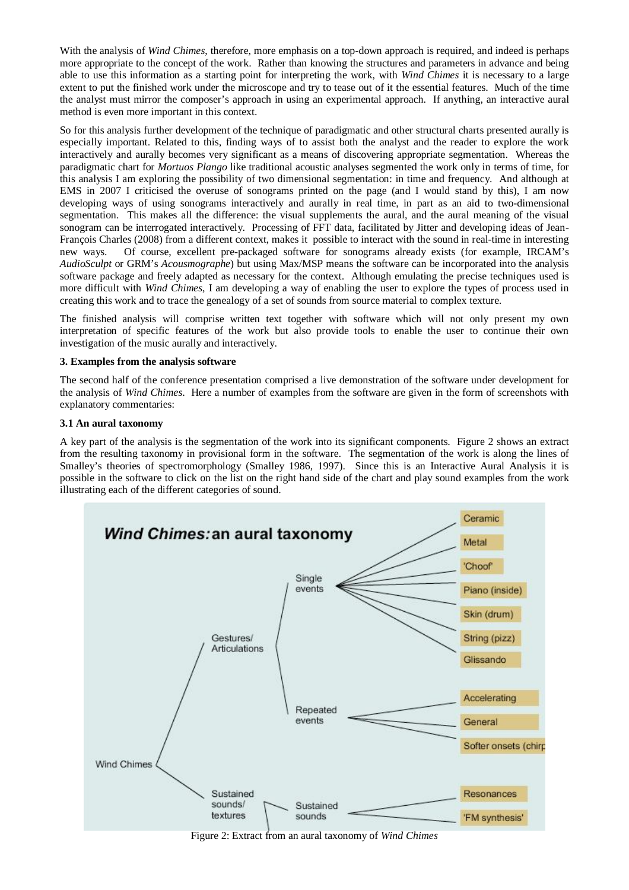With the analysis of *Wind Chimes*, therefore, more emphasis on a top-down approach is required, and indeed is perhaps more appropriate to the concept of the work. Rather than knowing the structures and parameters in advance and being able to use this information as a starting point for interpreting the work, with *Wind Chimes* it is necessary to a large extent to put the finished work under the microscope and try to tease out of it the essential features. Much of the time the analyst must mirror the composer's approach in using an experimental approach. If anything, an interactive aural method is even more important in this context.

So for this analysis further development of the technique of paradigmatic and other structural charts presented aurally is especially important. Related to this, finding ways of to assist both the analyst and the reader to explore the work interactively and aurally becomes very significant as a means of discovering appropriate segmentation. Whereas the paradigmatic chart for *Mortuos Plango* like traditional acoustic analyses segmented the work only in terms of time, for this analysis I am exploring the possibility of two dimensional segmentation: in time and frequency. And although at EMS in 2007 I criticised the overuse of sonograms printed on the page (and I would stand by this), I am now developing ways of using sonograms interactively and aurally in real time, in part as an aid to two-dimensional segmentation. This makes all the difference: the visual supplements the aural, and the aural meaning of the visual sonogram can be interrogated interactively. Processing of FFT data, facilitated by Jitter and developing ideas of Jean-François Charles (2008) from a different context, makes it possible to interact with the sound in real-time in interesting new ways. Of course, excellent pre-packaged software for sonograms already exists (for example, IRCAM's *AudioSculpt* or GRM's *Acousmographe*) but using Max/MSP means the software can be incorporated into the analysis software package and freely adapted as necessary for the context. Although emulating the precise techniques used is more difficult with *Wind Chimes*, I am developing a way of enabling the user to explore the types of process used in creating this work and to trace the genealogy of a set of sounds from source material to complex texture.

The finished analysis will comprise written text together with software which will not only present my own interpretation of specific features of the work but also provide tools to enable the user to continue their own investigation of the music aurally and interactively.

## **3. Examples from the analysis software**

The second half of the conference presentation comprised a live demonstration of the software under development for the analysis of *Wind Chimes*. Here a number of examples from the software are given in the form of screenshots with explanatory commentaries:

### **3.1 An aural taxonomy**

A key part of the analysis is the segmentation of the work into its significant components. Figure 2 shows an extract from the resulting taxonomy in provisional form in the software. The segmentation of the work is along the lines of Smalley's theories of spectromorphology (Smalley 1986, 1997). Since this is an Interactive Aural Analysis it is possible in the software to click on the list on the right hand side of the chart and play sound examples from the work illustrating each of the different categories of sound.



Figure 2: Extract from an aural taxonomy of *Wind Chimes*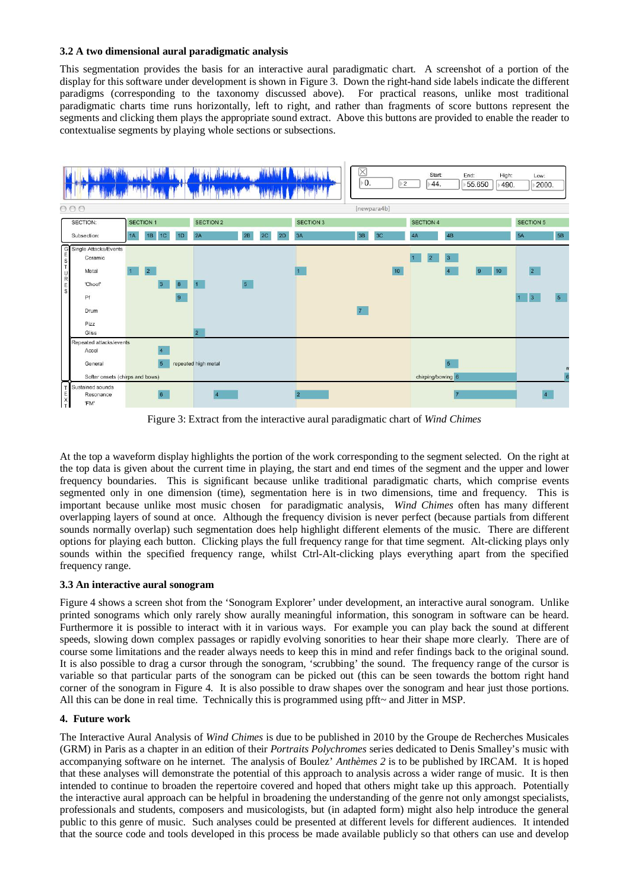## **3.2 A two dimensional aural paradigmatic analysis**

This segmentation provides the basis for an interactive aural paradigmatic chart. A screenshot of a portion of the display for this software under development is shown in Figure 3. Down the right-hand side labels indicate the different paradigms (corresponding to the taxonomy discussed above). For practical reasons, unlike most traditional paradigmatic charts time runs horizontally, left to right, and rather than fragments of score buttons represent the segments and clicking them plays the appropriate sound extract. Above this buttons are provided to enable the reader to contextualise segments by playing whole sections or subsections.



Figure 3: Extract from the interactive aural paradigmatic chart of *Wind Chimes*

At the top a waveform display highlights the portion of the work corresponding to the segment selected. On the right at the top data is given about the current time in playing, the start and end times of the segment and the upper and lower frequency boundaries. This is significant because unlike traditional paradigmatic charts, which comprise events segmented only in one dimension (time), segmentation here is in two dimensions, time and frequency. This is important because unlike most music chosen for paradigmatic analysis, *Wind Chimes* often has many different overlapping layers of sound at once. Although the frequency division is never perfect (because partials from different sounds normally overlap) such segmentation does help highlight different elements of the music. There are different options for playing each button. Clicking plays the full frequency range for that time segment. Alt-clicking plays only sounds within the specified frequency range, whilst Ctrl-Alt-clicking plays everything apart from the specified frequency range.

## **3.3 An interactive aural sonogram**

Figure 4 shows a screen shot from the 'Sonogram Explorer' under development, an interactive aural sonogram. Unlike printed sonograms which only rarely show aurally meaningful information, this sonogram in software can be heard. Furthermore it is possible to interact with it in various ways. For example you can play back the sound at different speeds, slowing down complex passages or rapidly evolving sonorities to hear their shape more clearly. There are of course some limitations and the reader always needs to keep this in mind and refer findings back to the original sound. It is also possible to drag a cursor through the sonogram, 'scrubbing' the sound. The frequency range of the cursor is variable so that particular parts of the sonogram can be picked out (this can be seen towards the bottom right hand corner of the sonogram in Figure 4. It is also possible to draw shapes over the sonogram and hear just those portions. All this can be done in real time. Technically this is programmed using  $\text{pfft}$  and Jitter in MSP.

## **4. Future work**

The Interactive Aural Analysis of *Wind Chimes* is due to be published in 2010 by the Groupe de Recherches Musicales (GRM) in Paris as a chapter in an edition of their *Portraits Polychromes* series dedicated to Denis Smalley's music with accompanying software on he internet. The analysis of Boulez' *Anthèmes 2* is to be published by IRCAM. It is hoped that these analyses will demonstrate the potential of this approach to analysis across a wider range of music. It is then intended to continue to broaden the repertoire covered and hoped that others might take up this approach. Potentially the interactive aural approach can be helpful in broadening the understanding of the genre not only amongst specialists, professionals and students, composers and musicologists, but (in adapted form) might also help introduce the general public to this genre of music. Such analyses could be presented at different levels for different audiences. It intended that the source code and tools developed in this process be made available publicly so that others can use and develop